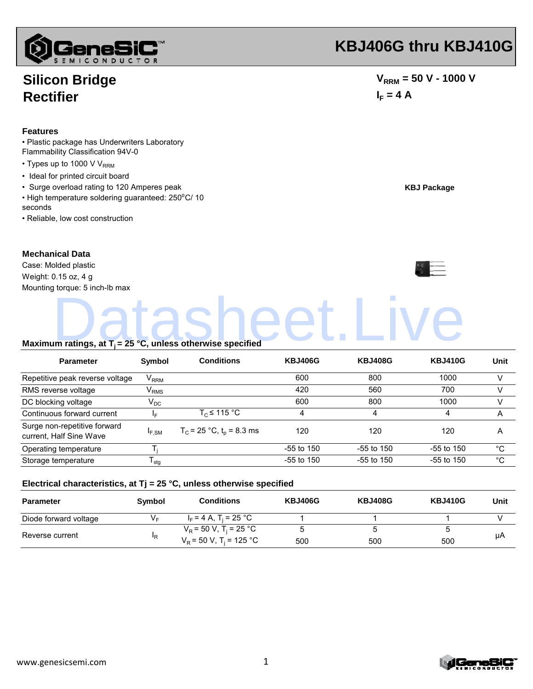

### **Silicon Bridge Rectifier**

#### **Features**

• Plastic package has Underwriters Laboratory Flammability Classification 94V-0

- $\cdot$  Types up to 1000 V V<sub>RRM</sub>
- Ideal for printed circuit board
- Surge overload rating to 120 Amperes peak
- High temperature soldering guaranteed: 250<sup>o</sup>C/ 10 s
- Reliable, low cost construction

### **Mechanical Data**

# **KBJ406G thru KBJ410G**

 $V_{RRM}$  = 50 V - 1000 V  $I_F = 4 A$ 

**KBJ Package**

| • High temperature soldering guaranteed: $250^{\circ}$ C/ 10<br>seconds |        |                   |                |                |                |      |
|-------------------------------------------------------------------------|--------|-------------------|----------------|----------------|----------------|------|
| · Reliable, low cost construction                                       |        |                   |                |                |                |      |
| <b>Mechanical Data</b>                                                  |        |                   |                |                |                |      |
| Case: Molded plastic                                                    |        |                   |                |                |                |      |
| Weight: 0.15 oz, 4 g                                                    |        |                   |                |                |                |      |
| Mounting torque: 5 inch-lb max                                          |        |                   |                |                |                |      |
| Maximum ratings, at $T_i = 25 °C$ , unless otherwise specified          |        |                   |                |                |                |      |
| <b>Parameter</b>                                                        | Symbol | <b>Conditions</b> | <b>KBJ406G</b> | <b>KBJ408G</b> | <b>KBJ410G</b> | Unit |

| Parameter                                               | <b>SVMDOL</b>               | Conditions                    | <b>NBJ400G</b> | <b>NBJ408G</b> | <b>NBJ410G</b> | Unit |
|---------------------------------------------------------|-----------------------------|-------------------------------|----------------|----------------|----------------|------|
| Repetitive peak reverse voltage                         | $\mathsf{V}_{\mathsf{RRM}}$ |                               | 600            | 800            | 1000           |      |
| RMS reverse voltage                                     | $\mathsf{V}_{\mathsf{RMS}}$ |                               | 420            | 560            | 700            |      |
| DC blocking voltage                                     | $V_{DC}$                    |                               | 600            | 800            | 1000           |      |
| Continuous forward current                              | I⊏                          | $T_c \le 115 °C$              | 4              | 4              | 4              | A    |
| Surge non-repetitive forward<br>current, Half Sine Wave | <sup>I</sup> F.SM           | $T_c$ = 25 °C, $t_p$ = 8.3 ms | 120            | 120            | 120            | A    |
| Operating temperature                                   |                             |                               | $-55$ to 150   | $-55$ to $150$ | $-55$ to 150   | °C   |
| Storage temperature                                     | stq                         |                               | $-55$ to 150   | $-55$ to 150   | $-55$ to 150   | °C   |

#### **Electrical characteristics, at Tj = 25 °C, unless otherwise specified**

| <b>Parameter</b>      | Symbol         | <b>Conditions</b>                     | <b>KBJ406G</b> | <b>KBJ408G</b> | <b>KBJ410G</b> | Unit |
|-----------------------|----------------|---------------------------------------|----------------|----------------|----------------|------|
| Diode forward voltage | V <sub>F</sub> | $I_F = 4 A$ , T <sub>i</sub> = 25 °C  |                |                |                |      |
| Reverse current       | "R             | $V_R$ = 50 V, T <sub>i</sub> = 25 °C  |                |                |                | μA   |
|                       |                | $V_R$ = 50 V, T <sub>i</sub> = 125 °C | 500            | 500            | 500            |      |